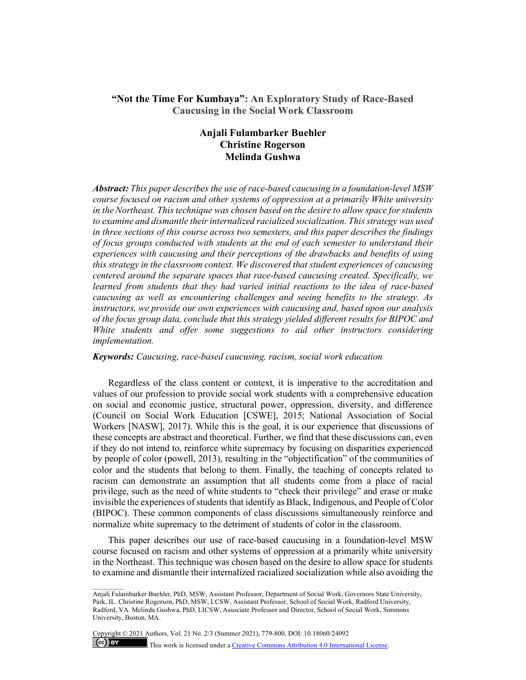# **"Not the Time For Kumbaya": An Exploratory Study of Race-Based Caucusing in the Social Work Classroom**

# **Anjali Fulambarker Buehler Christine Rogerson Melinda Gushwa**

*Abstract: This paper describes the use of race-based caucusing in a foundation-level MSW course focused on racism and other systems of oppression at a primarily White university in the Northeast. This technique was chosen based on the desire to allow space for students to examine and dismantle their internalized racialized socialization. This strategy was used in three sections of this course across two semesters, and this paper describes the findings of focus groups conducted with students at the end of each semester to understand their experiences with caucusing and their perceptions of the drawbacks and benefits of using this strategy in the classroom context. We discovered that student experiences of caucusing centered around the separate spaces that race-based caucusing created. Specifically, we learned from students that they had varied initial reactions to the idea of race-based caucusing as well as encountering challenges and seeing benefits to the strategy. As instructors, we provide our own experiences with caucusing and, based upon our analysis of the focus group data, conclude that this strategy yielded different results for BIPOC and White students and offer some suggestions to aid other instructors considering implementation.*

## *Keywords: Caucusing, race-based caucusing, racism, social work education*

Regardless of the class content or context, it is imperative to the accreditation and values of our profession to provide social work students with a comprehensive education on social and economic justice, structural power, oppression, diversity, and difference (Council on Social Work Education [CSWE], 2015; National Association of Social Workers [NASW], 2017). While this is the goal, it is our experience that discussions of these concepts are abstract and theoretical. Further, we find that these discussions can, even if they do not intend to, reinforce white supremacy by focusing on disparities experienced by people of color (powell, 2013), resulting in the "objectification" of the communities of color and the students that belong to them. Finally, the teaching of concepts related to racism can demonstrate an assumption that all students come from a place of racial privilege, such as the need of white students to "check their privilege" and erase or make invisible the experiences of students that identify as Black, Indigenous, and People of Color (BIPOC). These common components of class discussions simultaneously reinforce and normalize white supremacy to the detriment of students of color in the classroom.

This paper describes our use of race-based caucusing in a foundation-level MSW course focused on racism and other systems of oppression at a primarily white university in the Northeast. This technique was chosen based on the desire to allow space for students to examine and dismantle their internalized racialized socialization while also avoiding the

Copyright © 2021 Authors, Vol. 21 No. 2/3 (Summer 2021), 779-800, DOI: 10.18060/24092

 $(cc)$  BY

This work is licensed under [a Creative Commons Attribution 4.0 International License.](about:blank)

Anjali Fulambarker Buehler, PhD, MSW, Assistant Professor, Department of Social Work, Governors State University, Park, IL. Christine Rogerson, PhD, MSW, LCSW, Assistant Professor, School of Social Work, Radford University, Radford, VA. Melinda Gushwa, PhD, LICSW, Associate Professor and Director, School of Social Work, Simmons University, Boston, MA.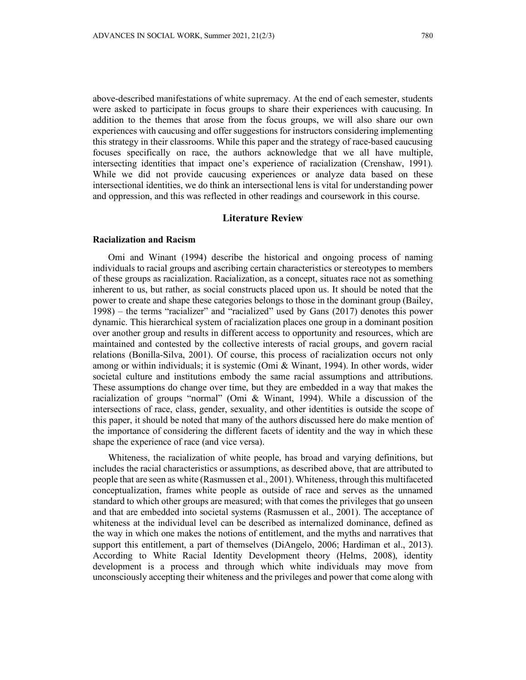above-described manifestations of white supremacy. At the end of each semester, students were asked to participate in focus groups to share their experiences with caucusing. In addition to the themes that arose from the focus groups, we will also share our own experiences with caucusing and offer suggestions for instructors considering implementing this strategy in their classrooms. While this paper and the strategy of race-based caucusing focuses specifically on race, the authors acknowledge that we all have multiple, intersecting identities that impact one's experience of racialization (Crenshaw, 1991). While we did not provide caucusing experiences or analyze data based on these intersectional identities, we do think an intersectional lens is vital for understanding power and oppression, and this was reflected in other readings and coursework in this course.

# **Literature Review**

### **Racialization and Racism**

Omi and Winant (1994) describe the historical and ongoing process of naming individuals to racial groups and ascribing certain characteristics or stereotypes to members of these groups as racialization. Racialization, as a concept, situates race not as something inherent to us, but rather, as social constructs placed upon us. It should be noted that the power to create and shape these categories belongs to those in the dominant group (Bailey, 1998) – the terms "racializer" and "racialized" used by Gans (2017) denotes this power dynamic. This hierarchical system of racialization places one group in a dominant position over another group and results in different access to opportunity and resources, which are maintained and contested by the collective interests of racial groups, and govern racial relations (Bonilla-Silva, 2001). Of course, this process of racialization occurs not only among or within individuals; it is systemic (Omi & Winant, 1994). In other words, wider societal culture and institutions embody the same racial assumptions and attributions. These assumptions do change over time, but they are embedded in a way that makes the racialization of groups "normal" (Omi & Winant, 1994). While a discussion of the intersections of race, class, gender, sexuality, and other identities is outside the scope of this paper, it should be noted that many of the authors discussed here do make mention of the importance of considering the different facets of identity and the way in which these shape the experience of race (and vice versa).

Whiteness, the racialization of white people, has broad and varying definitions, but includes the racial characteristics or assumptions, as described above, that are attributed to people that are seen as white (Rasmussen et al., 2001). Whiteness, through this multifaceted conceptualization, frames white people as outside of race and serves as the unnamed standard to which other groups are measured; with that comes the privileges that go unseen and that are embedded into societal systems (Rasmussen et al., 2001). The acceptance of whiteness at the individual level can be described as internalized dominance, defined as the way in which one makes the notions of entitlement, and the myths and narratives that support this entitlement, a part of themselves (DiAngelo, 2006; Hardiman et al., 2013). According to White Racial Identity Development theory (Helms, 2008), identity development is a process and through which white individuals may move from unconsciously accepting their whiteness and the privileges and power that come along with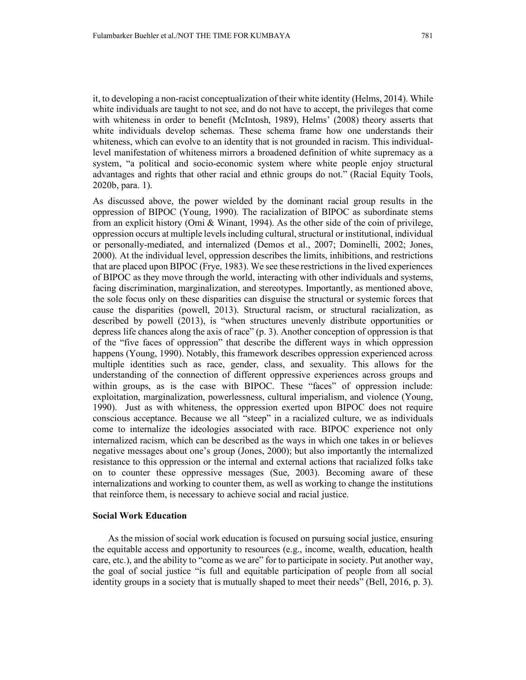it, to developing a non-racist conceptualization of their white identity (Helms, 2014). While white individuals are taught to not see, and do not have to accept, the privileges that come with whiteness in order to benefit (McIntosh, 1989), Helms' (2008) theory asserts that white individuals develop schemas. These schema frame how one understands their whiteness, which can evolve to an identity that is not grounded in racism. This individuallevel manifestation of whiteness mirrors a broadened definition of white supremacy as a system, "a political and socio-economic system where white people enjoy structural advantages and rights that other racial and ethnic groups do not." (Racial Equity Tools, 2020b, para. 1).

As discussed above, the power wielded by the dominant racial group results in the oppression of BIPOC (Young, 1990). The racialization of BIPOC as subordinate stems from an explicit history (Omi & Winant, 1994). As the other side of the coin of privilege, oppression occurs at multiple levels including cultural, structural or institutional, individual or personally-mediated, and internalized (Demos et al., 2007; Dominelli, 2002; Jones, 2000). At the individual level, oppression describes the limits, inhibitions, and restrictions that are placed upon BIPOC (Frye, 1983). We see these restrictions in the lived experiences of BIPOC as they move through the world, interacting with other individuals and systems, facing discrimination, marginalization, and stereotypes. Importantly, as mentioned above, the sole focus only on these disparities can disguise the structural or systemic forces that cause the disparities (powell, 2013). Structural racism, or structural racialization, as described by powell (2013), is "when structures unevenly distribute opportunities or depress life chances along the axis of race" (p. 3). Another conception of oppression is that of the "five faces of oppression" that describe the different ways in which oppression happens (Young, 1990). Notably, this framework describes oppression experienced across multiple identities such as race, gender, class, and sexuality. This allows for the understanding of the connection of different oppressive experiences across groups and within groups, as is the case with BIPOC. These "faces" of oppression include: exploitation, marginalization, powerlessness, cultural imperialism, and violence (Young, 1990). Just as with whiteness, the oppression exerted upon BIPOC does not require conscious acceptance. Because we all "steep" in a racialized culture, we as individuals come to internalize the ideologies associated with race. BIPOC experience not only internalized racism, which can be described as the ways in which one takes in or believes negative messages about one's group (Jones, 2000); but also importantly the internalized resistance to this oppression or the internal and external actions that racialized folks take on to counter these oppressive messages (Sue, 2003). Becoming aware of these internalizations and working to counter them, as well as working to change the institutions that reinforce them, is necessary to achieve social and racial justice.

#### **Social Work Education**

As the mission of social work education is focused on pursuing social justice, ensuring the equitable access and opportunity to resources (e.g., income, wealth, education, health care, etc.), and the ability to "come as we are" for to participate in society. Put another way, the goal of social justice "is full and equitable participation of people from all social identity groups in a society that is mutually shaped to meet their needs" (Bell, 2016, p. 3).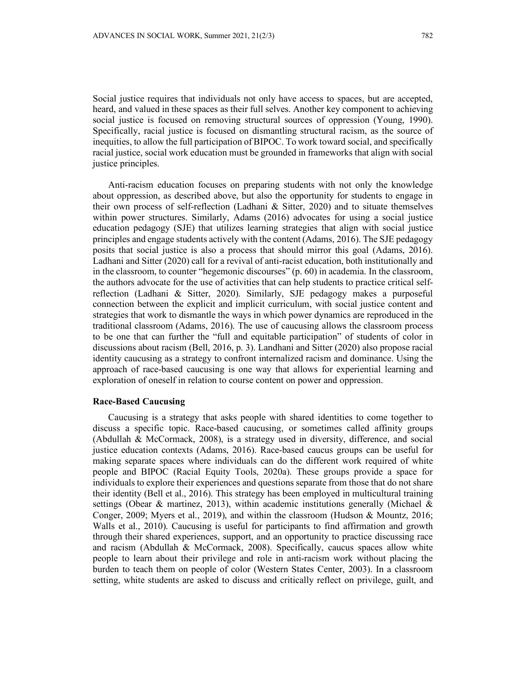Social justice requires that individuals not only have access to spaces, but are accepted, heard, and valued in these spaces as their full selves. Another key component to achieving social justice is focused on removing structural sources of oppression (Young, 1990). Specifically, racial justice is focused on dismantling structural racism, as the source of inequities, to allow the full participation of BIPOC. To work toward social, and specifically racial justice, social work education must be grounded in frameworks that align with social justice principles.

Anti-racism education focuses on preparing students with not only the knowledge about oppression, as described above, but also the opportunity for students to engage in their own process of self-reflection (Ladhani & Sitter, 2020) and to situate themselves within power structures. Similarly, Adams (2016) advocates for using a social justice education pedagogy (SJE) that utilizes learning strategies that align with social justice principles and engage students actively with the content (Adams, 2016). The SJE pedagogy posits that social justice is also a process that should mirror this goal (Adams, 2016). Ladhani and Sitter (2020) call for a revival of anti-racist education, both institutionally and in the classroom, to counter "hegemonic discourses" (p. 60) in academia. In the classroom, the authors advocate for the use of activities that can help students to practice critical selfreflection (Ladhani & Sitter, 2020). Similarly, SJE pedagogy makes a purposeful connection between the explicit and implicit curriculum, with social justice content and strategies that work to dismantle the ways in which power dynamics are reproduced in the traditional classroom (Adams, 2016). The use of caucusing allows the classroom process to be one that can further the "full and equitable participation" of students of color in discussions about racism (Bell, 2016, p. 3). Landhani and Sitter (2020) also propose racial identity caucusing as a strategy to confront internalized racism and dominance. Using the approach of race-based caucusing is one way that allows for experiential learning and exploration of oneself in relation to course content on power and oppression.

# **Race-Based Caucusing**

Caucusing is a strategy that asks people with shared identities to come together to discuss a specific topic. Race-based caucusing, or sometimes called affinity groups (Abdullah & McCormack, 2008), is a strategy used in diversity, difference, and social justice education contexts (Adams, 2016). Race-based caucus groups can be useful for making separate spaces where individuals can do the different work required of white people and BIPOC (Racial Equity Tools, 2020a). These groups provide a space for individuals to explore their experiences and questions separate from those that do not share their identity (Bell et al., 2016). This strategy has been employed in multicultural training settings (Obear & martinez, 2013), within academic institutions generally (Michael & Conger, 2009; Myers et al., 2019), and within the classroom (Hudson & Mountz, 2016; Walls et al., 2010). Caucusing is useful for participants to find affirmation and growth through their shared experiences, support, and an opportunity to practice discussing race and racism (Abdullah & McCormack, 2008). Specifically, caucus spaces allow white people to learn about their privilege and role in anti-racism work without placing the burden to teach them on people of color (Western States Center, 2003). In a classroom setting, white students are asked to discuss and critically reflect on privilege, guilt, and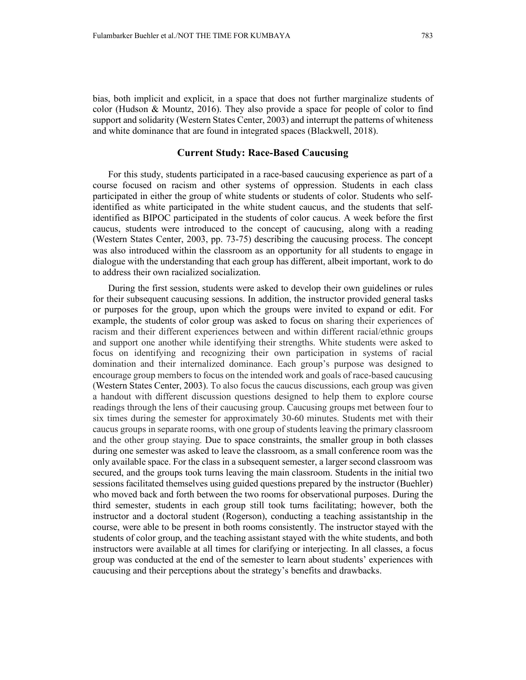bias, both implicit and explicit, in a space that does not further marginalize students of color (Hudson & Mountz, 2016). They also provide a space for people of color to find support and solidarity (Western States Center, 2003) and interrupt the patterns of whiteness and white dominance that are found in integrated spaces (Blackwell, 2018).

# **Current Study: Race-Based Caucusing**

For this study, students participated in a race-based caucusing experience as part of a course focused on racism and other systems of oppression. Students in each class participated in either the group of white students or students of color. Students who selfidentified as white participated in the white student caucus, and the students that selfidentified as BIPOC participated in the students of color caucus. A week before the first caucus, students were introduced to the concept of caucusing, along with a reading (Western States Center, 2003, pp. 73-75) describing the caucusing process. The concept was also introduced within the classroom as an opportunity for all students to engage in dialogue with the understanding that each group has different, albeit important, work to do to address their own racialized socialization.

During the first session, students were asked to develop their own guidelines or rules for their subsequent caucusing sessions. In addition, the instructor provided general tasks or purposes for the group, upon which the groups were invited to expand or edit. For example, the students of color group was asked to focus on sharing their experiences of racism and their different experiences between and within different racial/ethnic groups and support one another while identifying their strengths. White students were asked to focus on identifying and recognizing their own participation in systems of racial domination and their internalized dominance. Each group's purpose was designed to encourage group members to focus on the intended work and goals of race-based caucusing (Western States Center, 2003). To also focus the caucus discussions, each group was given a handout with different discussion questions designed to help them to explore course readings through the lens of their caucusing group. Caucusing groups met between four to six times during the semester for approximately 30-60 minutes. Students met with their caucus groups in separate rooms, with one group of students leaving the primary classroom and the other group staying. Due to space constraints, the smaller group in both classes during one semester was asked to leave the classroom, as a small conference room was the only available space. For the class in a subsequent semester, a larger second classroom was secured, and the groups took turns leaving the main classroom. Students in the initial two sessions facilitated themselves using guided questions prepared by the instructor (Buehler) who moved back and forth between the two rooms for observational purposes. During the third semester, students in each group still took turns facilitating; however, both the instructor and a doctoral student (Rogerson), conducting a teaching assistantship in the course, were able to be present in both rooms consistently. The instructor stayed with the students of color group, and the teaching assistant stayed with the white students, and both instructors were available at all times for clarifying or interjecting. In all classes, a focus group was conducted at the end of the semester to learn about students' experiences with caucusing and their perceptions about the strategy's benefits and drawbacks.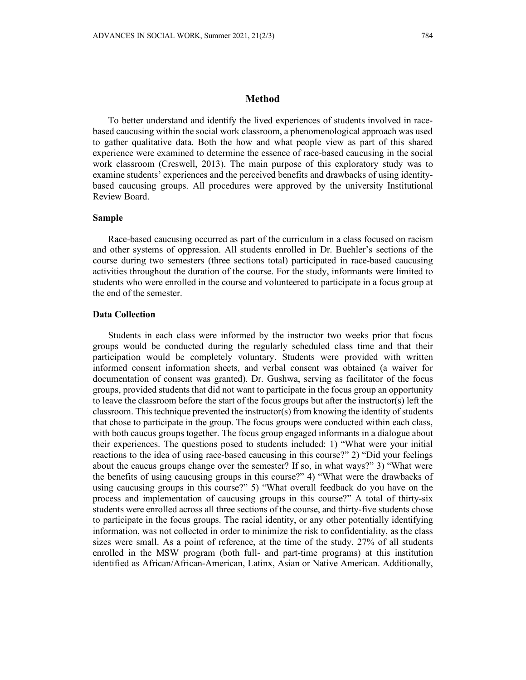### **Method**

To better understand and identify the lived experiences of students involved in racebased caucusing within the social work classroom, a phenomenological approach was used to gather qualitative data. Both the how and what people view as part of this shared experience were examined to determine the essence of race-based caucusing in the social work classroom (Creswell, 2013). The main purpose of this exploratory study was to examine students' experiences and the perceived benefits and drawbacks of using identitybased caucusing groups. All procedures were approved by the university Institutional Review Board.

# **Sample**

Race-based caucusing occurred as part of the curriculum in a class focused on racism and other systems of oppression. All students enrolled in Dr. Buehler's sections of the course during two semesters (three sections total) participated in race-based caucusing activities throughout the duration of the course. For the study, informants were limited to students who were enrolled in the course and volunteered to participate in a focus group at the end of the semester.

#### **Data Collection**

Students in each class were informed by the instructor two weeks prior that focus groups would be conducted during the regularly scheduled class time and that their participation would be completely voluntary. Students were provided with written informed consent information sheets, and verbal consent was obtained (a waiver for documentation of consent was granted). Dr. Gushwa, serving as facilitator of the focus groups, provided students that did not want to participate in the focus group an opportunity to leave the classroom before the start of the focus groups but after the instructor(s) left the classroom. This technique prevented the instructor(s) from knowing the identity of students that chose to participate in the group. The focus groups were conducted within each class, with both caucus groups together. The focus group engaged informants in a dialogue about their experiences. The questions posed to students included: 1) "What were your initial reactions to the idea of using race-based caucusing in this course?" 2) "Did your feelings about the caucus groups change over the semester? If so, in what ways?" 3) "What were the benefits of using caucusing groups in this course?" 4) "What were the drawbacks of using caucusing groups in this course?" 5) "What overall feedback do you have on the process and implementation of caucusing groups in this course?" A total of thirty-six students were enrolled across all three sections of the course, and thirty-five students chose to participate in the focus groups. The racial identity, or any other potentially identifying information, was not collected in order to minimize the risk to confidentiality, as the class sizes were small. As a point of reference, at the time of the study, 27% of all students enrolled in the MSW program (both full- and part-time programs) at this institution identified as African/African-American, Latinx, Asian or Native American. Additionally,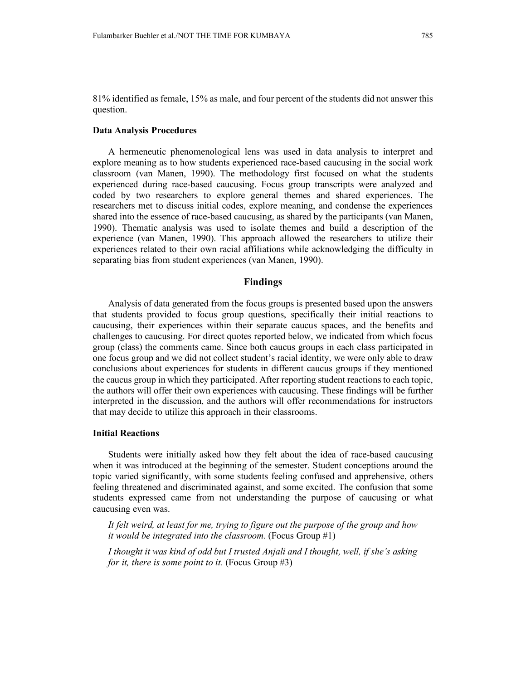81% identified as female, 15% as male, and four percent of the students did not answer this question.

#### **Data Analysis Procedures**

A hermeneutic phenomenological lens was used in data analysis to interpret and explore meaning as to how students experienced race-based caucusing in the social work classroom (van Manen, 1990). The methodology first focused on what the students experienced during race-based caucusing. Focus group transcripts were analyzed and coded by two researchers to explore general themes and shared experiences. The researchers met to discuss initial codes, explore meaning, and condense the experiences shared into the essence of race-based caucusing, as shared by the participants (van Manen, 1990). Thematic analysis was used to isolate themes and build a description of the experience (van Manen, 1990). This approach allowed the researchers to utilize their experiences related to their own racial affiliations while acknowledging the difficulty in separating bias from student experiences (van Manen, 1990).

### **Findings**

Analysis of data generated from the focus groups is presented based upon the answers that students provided to focus group questions, specifically their initial reactions to caucusing, their experiences within their separate caucus spaces, and the benefits and challenges to caucusing. For direct quotes reported below, we indicated from which focus group (class) the comments came. Since both caucus groups in each class participated in one focus group and we did not collect student's racial identity, we were only able to draw conclusions about experiences for students in different caucus groups if they mentioned the caucus group in which they participated. After reporting student reactions to each topic, the authors will offer their own experiences with caucusing. These findings will be further interpreted in the discussion, and the authors will offer recommendations for instructors that may decide to utilize this approach in their classrooms.

### **Initial Reactions**

Students were initially asked how they felt about the idea of race-based caucusing when it was introduced at the beginning of the semester. Student conceptions around the topic varied significantly, with some students feeling confused and apprehensive, others feeling threatened and discriminated against, and some excited. The confusion that some students expressed came from not understanding the purpose of caucusing or what caucusing even was.

*It felt weird, at least for me, trying to figure out the purpose of the group and how it would be integrated into the classroom*. (Focus Group #1)

*I thought it was kind of odd but I trusted Anjali and I thought, well, if she's asking for it, there is some point to it.* (Focus Group #3)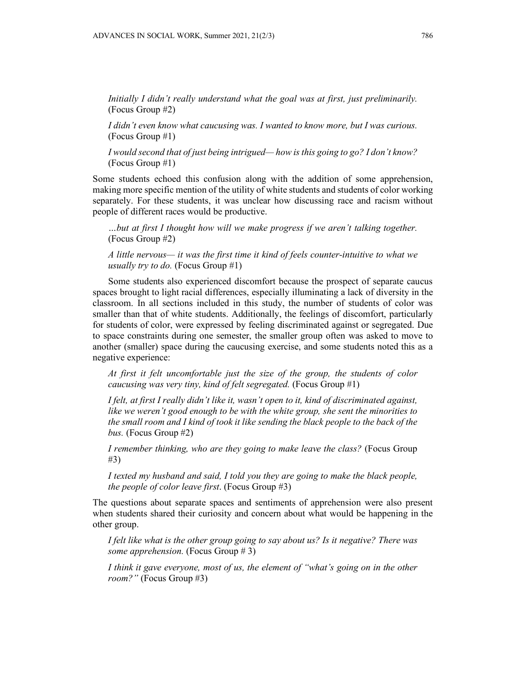*Initially I didn't really understand what the goal was at first, just preliminarily.* (Focus Group #2)

*I didn't even know what caucusing was. I wanted to know more, but I was curious.* (Focus Group #1)

*I would second that of just being intrigued— how is this going to go? I don't know?* (Focus Group #1)

Some students echoed this confusion along with the addition of some apprehension, making more specific mention of the utility of white students and students of color working separately. For these students, it was unclear how discussing race and racism without people of different races would be productive.

*…but at first I thought how will we make progress if we aren't talking together.* (Focus Group #2)

*A little nervous— it was the first time it kind of feels counter-intuitive to what we usually try to do.* (Focus Group #1)

Some students also experienced discomfort because the prospect of separate caucus spaces brought to light racial differences, especially illuminating a lack of diversity in the classroom. In all sections included in this study, the number of students of color was smaller than that of white students. Additionally, the feelings of discomfort, particularly for students of color, were expressed by feeling discriminated against or segregated. Due to space constraints during one semester, the smaller group often was asked to move to another (smaller) space during the caucusing exercise, and some students noted this as a negative experience:

*At first it felt uncomfortable just the size of the group, the students of color caucusing was very tiny, kind of felt segregated.* (Focus Group #1)

*I felt, at first I really didn't like it, wasn't open to it, kind of discriminated against, like we weren't good enough to be with the white group, she sent the minorities to the small room and I kind of took it like sending the black people to the back of the bus.* (Focus Group #2)

*I remember thinking, who are they going to make leave the class?* (Focus Group #3)

*I texted my husband and said, I told you they are going to make the black people, the people of color leave first*. (Focus Group #3)

The questions about separate spaces and sentiments of apprehension were also present when students shared their curiosity and concern about what would be happening in the other group.

*I felt like what is the other group going to say about us? Is it negative? There was some apprehension.* (Focus Group # 3)

*I think it gave everyone, most of us, the element of "what's going on in the other room?"* (Focus Group #3)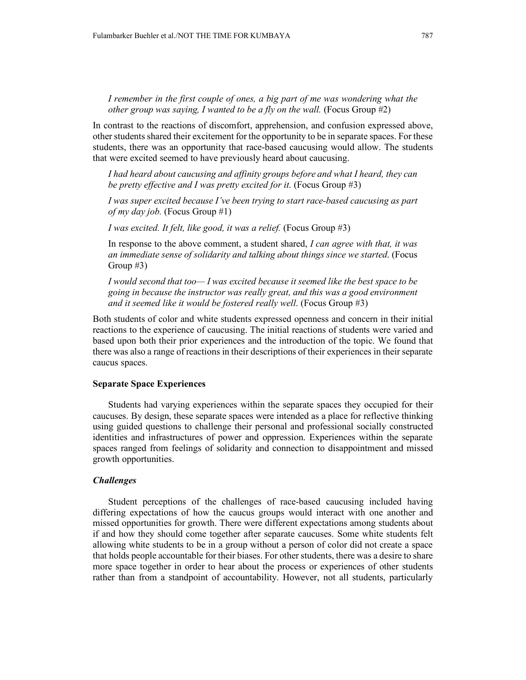*I remember in the first couple of ones, a big part of me was wondering what the other group was saying, I wanted to be a fly on the wall.* (Focus Group #2)

In contrast to the reactions of discomfort, apprehension, and confusion expressed above, other students shared their excitement for the opportunity to be in separate spaces. For these students, there was an opportunity that race-based caucusing would allow. The students that were excited seemed to have previously heard about caucusing.

*I had heard about caucusing and affinity groups before and what I heard, they can be pretty effective and I was pretty excited for it*. (Focus Group #3)

*I was super excited because I've been trying to start race-based caucusing as part of my day job.* (Focus Group #1)

*I was excited. It felt, like good, it was a relief.* (Focus Group #3)

In response to the above comment, a student shared, *I can agree with that, it was an immediate sense of solidarity and talking about things since we started*. (Focus Group #3)

*I would second that too— I was excited because it seemed like the best space to be going in because the instructor was really great, and this was a good environment and it seemed like it would be fostered really well*. (Focus Group #3)

Both students of color and white students expressed openness and concern in their initial reactions to the experience of caucusing. The initial reactions of students were varied and based upon both their prior experiences and the introduction of the topic. We found that there was also a range of reactions in their descriptions of their experiences in their separate caucus spaces.

# **Separate Space Experiences**

Students had varying experiences within the separate spaces they occupied for their caucuses. By design, these separate spaces were intended as a place for reflective thinking using guided questions to challenge their personal and professional socially constructed identities and infrastructures of power and oppression. Experiences within the separate spaces ranged from feelings of solidarity and connection to disappointment and missed growth opportunities.

# *Challenges*

Student perceptions of the challenges of race-based caucusing included having differing expectations of how the caucus groups would interact with one another and missed opportunities for growth. There were different expectations among students about if and how they should come together after separate caucuses. Some white students felt allowing white students to be in a group without a person of color did not create a space that holds people accountable for their biases. For other students, there was a desire to share more space together in order to hear about the process or experiences of other students rather than from a standpoint of accountability. However, not all students, particularly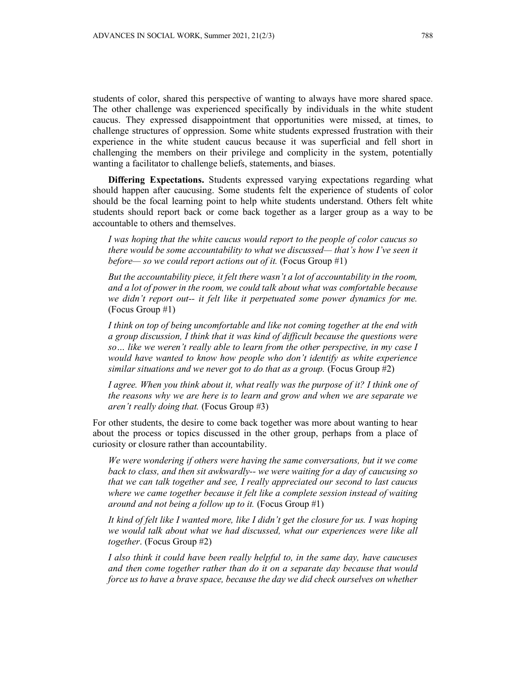students of color, shared this perspective of wanting to always have more shared space. The other challenge was experienced specifically by individuals in the white student caucus. They expressed disappointment that opportunities were missed, at times, to challenge structures of oppression. Some white students expressed frustration with their experience in the white student caucus because it was superficial and fell short in challenging the members on their privilege and complicity in the system, potentially wanting a facilitator to challenge beliefs, statements, and biases.

**Differing Expectations.** Students expressed varying expectations regarding what should happen after caucusing. Some students felt the experience of students of color should be the focal learning point to help white students understand. Others felt white students should report back or come back together as a larger group as a way to be accountable to others and themselves.

*I was hoping that the white caucus would report to the people of color caucus so there would be some accountability to what we discussed— that's how I've seen it before— so we could report actions out of it.* (Focus Group #1)

*But the accountability piece, it felt there wasn't a lot of accountability in the room, and a lot of power in the room, we could talk about what was comfortable because we didn't report out-- it felt like it perpetuated some power dynamics for me.*  (Focus Group #1)

*I think on top of being uncomfortable and like not coming together at the end with a group discussion, I think that it was kind of difficult because the questions were so… like we weren't really able to learn from the other perspective, in my case I would have wanted to know how people who don't identify as white experience similar situations and we never got to do that as a group.* (Focus Group #2)

*I agree. When you think about it, what really was the purpose of it? I think one of the reasons why we are here is to learn and grow and when we are separate we aren't really doing that.* (Focus Group #3)

For other students, the desire to come back together was more about wanting to hear about the process or topics discussed in the other group, perhaps from a place of curiosity or closure rather than accountability.

*We were wondering if others were having the same conversations, but it we come back to class, and then sit awkwardly-- we were waiting for a day of caucusing so that we can talk together and see, I really appreciated our second to last caucus where we came together because it felt like a complete session instead of waiting around and not being a follow up to it.* (Focus Group #1)

*It kind of felt like I wanted more, like I didn't get the closure for us. I was hoping we would talk about what we had discussed, what our experiences were like all together*. (Focus Group #2)

*I also think it could have been really helpful to, in the same day, have caucuses and then come together rather than do it on a separate day because that would force us to have a brave space, because the day we did check ourselves on whether*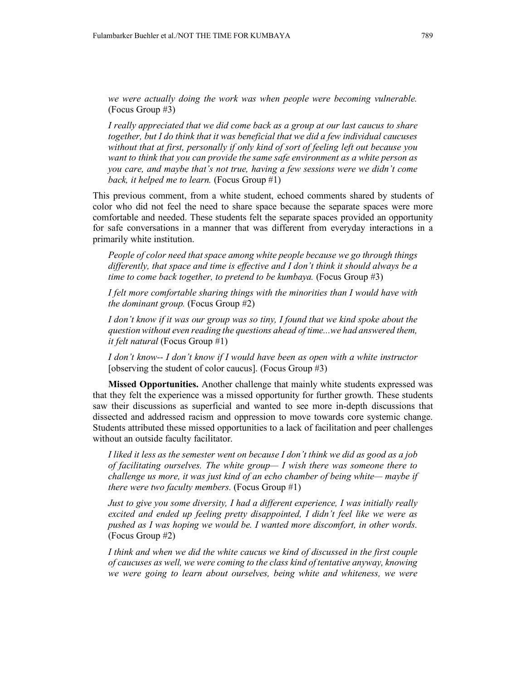*we were actually doing the work was when people were becoming vulnerable.*  (Focus Group #3)

*I really appreciated that we did come back as a group at our last caucus to share together, but I do think that it was beneficial that we did a few individual caucuses without that at first, personally if only kind of sort of feeling left out because you want to think that you can provide the same safe environment as a white person as you care, and maybe that's not true, having a few sessions were we didn't come back, it helped me to learn.* (Focus Group #1)

This previous comment, from a white student, echoed comments shared by students of color who did not feel the need to share space because the separate spaces were more comfortable and needed. These students felt the separate spaces provided an opportunity for safe conversations in a manner that was different from everyday interactions in a primarily white institution.

*People of color need that space among white people because we go through things differently, that space and time is effective and I don't think it should always be a time to come back together, to pretend to be kumbaya.* (Focus Group #3)

*I felt more comfortable sharing things with the minorities than I would have with the dominant group.* (Focus Group #2)

*I don't know if it was our group was so tiny, I found that we kind spoke about the question without even reading the questions ahead of time...we had answered them, it felt natural* (Focus Group #1)

*I don't know-- I don't know if I would have been as open with a white instructor*  [observing the student of color caucus]. (Focus Group #3)

**Missed Opportunities.** Another challenge that mainly white students expressed was that they felt the experience was a missed opportunity for further growth. These students saw their discussions as superficial and wanted to see more in-depth discussions that dissected and addressed racism and oppression to move towards core systemic change. Students attributed these missed opportunities to a lack of facilitation and peer challenges without an outside faculty facilitator.

*I liked it less as the semester went on because I don't think we did as good as a job of facilitating ourselves. The white group— I wish there was someone there to challenge us more, it was just kind of an echo chamber of being white— maybe if there were two faculty members.* (Focus Group #1)

*Just to give you some diversity, I had a different experience, I was initially really excited and ended up feeling pretty disappointed, I didn't feel like we were as pushed as I was hoping we would be. I wanted more discomfort, in other words.* (Focus Group #2)

*I think and when we did the white caucus we kind of discussed in the first couple of caucuses as well, we were coming to the class kind of tentative anyway, knowing we were going to learn about ourselves, being white and whiteness, we were*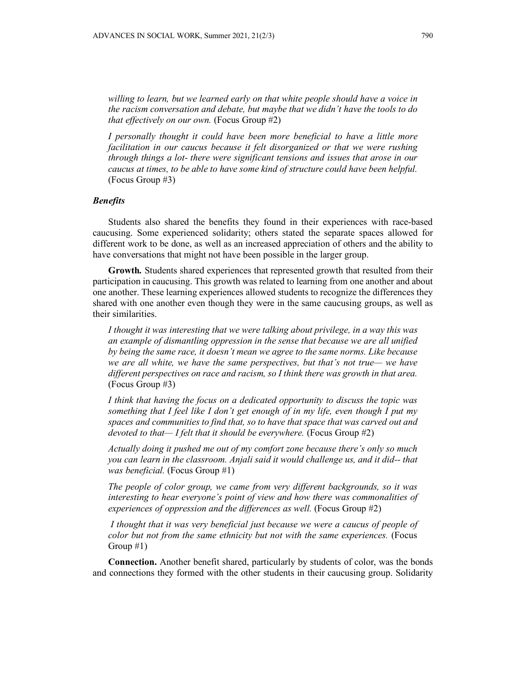*willing to learn, but we learned early on that white people should have a voice in the racism conversation and debate, but maybe that we didn't have the tools to do that effectively on our own.* (Focus Group #2)

*I personally thought it could have been more beneficial to have a little more facilitation in our caucus because it felt disorganized or that we were rushing through things a lot- there were significant tensions and issues that arose in our caucus at times, to be able to have some kind of structure could have been helpful.*  (Focus Group #3)

#### *Benefits*

Students also shared the benefits they found in their experiences with race-based caucusing. Some experienced solidarity; others stated the separate spaces allowed for different work to be done, as well as an increased appreciation of others and the ability to have conversations that might not have been possible in the larger group.

**Growth***.* Students shared experiences that represented growth that resulted from their participation in caucusing. This growth was related to learning from one another and about one another. These learning experiences allowed students to recognize the differences they shared with one another even though they were in the same caucusing groups, as well as their similarities.

*I thought it was interesting that we were talking about privilege, in a way this was an example of dismantling oppression in the sense that because we are all unified by being the same race, it doesn't mean we agree to the same norms. Like because we are all white, we have the same perspectives, but that's not true— we have different perspectives on race and racism, so I think there was growth in that area.* (Focus Group #3)

*I think that having the focus on a dedicated opportunity to discuss the topic was something that I feel like I don't get enough of in my life, even though I put my spaces and communities to find that, so to have that space that was carved out and devoted to that— I felt that it should be everywhere.* (Focus Group #2)

*Actually doing it pushed me out of my comfort zone because there's only so much you can learn in the classroom. Anjali said it would challenge us, and it did-- that was beneficial.* (Focus Group #1)

*The people of color group, we came from very different backgrounds, so it was interesting to hear everyone's point of view and how there was commonalities of experiences of oppression and the differences as well.* (Focus Group #2)

*I thought that it was very beneficial just because we were a caucus of people of color but not from the same ethnicity but not with the same experiences.* (Focus Group #1)

**Connection.** Another benefit shared, particularly by students of color, was the bonds and connections they formed with the other students in their caucusing group. Solidarity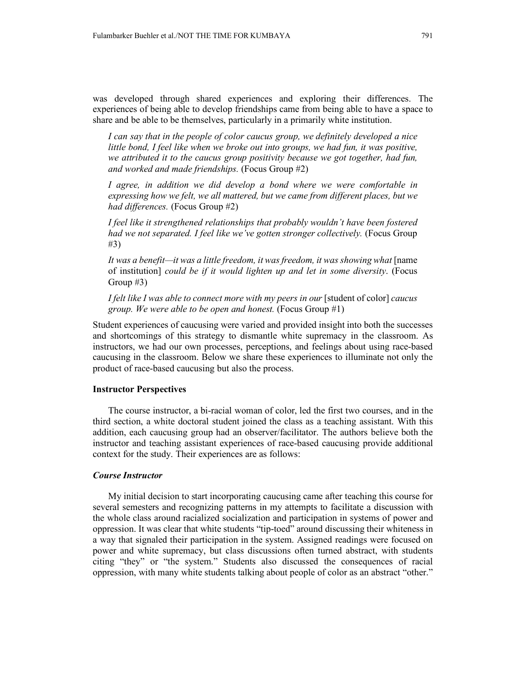was developed through shared experiences and exploring their differences. The experiences of being able to develop friendships came from being able to have a space to share and be able to be themselves, particularly in a primarily white institution.

*I can say that in the people of color caucus group, we definitely developed a nice little bond, I feel like when we broke out into groups, we had fun, it was positive, we attributed it to the caucus group positivity because we got together, had fun, and worked and made friendships.* (Focus Group #2)

*I agree, in addition we did develop a bond where we were comfortable in expressing how we felt, we all mattered, but we came from different places, but we had differences.* (Focus Group #2)

*I feel like it strengthened relationships that probably wouldn't have been fostered had we not separated. I feel like we've gotten stronger collectively.* (Focus Group #3)

It was a benefit—it was a little freedom, it was freedom, it was showing what [name of institution] *could be if it would lighten up and let in some diversity*. (Focus Group #3)

*I felt like I was able to connect more with my peers in our [student of color] caucus group. We were able to be open and honest.* (Focus Group #1)

Student experiences of caucusing were varied and provided insight into both the successes and shortcomings of this strategy to dismantle white supremacy in the classroom. As instructors, we had our own processes, perceptions, and feelings about using race-based caucusing in the classroom. Below we share these experiences to illuminate not only the product of race-based caucusing but also the process.

#### **Instructor Perspectives**

The course instructor, a bi-racial woman of color, led the first two courses, and in the third section, a white doctoral student joined the class as a teaching assistant. With this addition, each caucusing group had an observer/facilitator. The authors believe both the instructor and teaching assistant experiences of race-based caucusing provide additional context for the study. Their experiences are as follows:

#### *Course Instructor*

My initial decision to start incorporating caucusing came after teaching this course for several semesters and recognizing patterns in my attempts to facilitate a discussion with the whole class around racialized socialization and participation in systems of power and oppression. It was clear that white students "tip-toed" around discussing their whiteness in a way that signaled their participation in the system. Assigned readings were focused on power and white supremacy, but class discussions often turned abstract, with students citing "they" or "the system." Students also discussed the consequences of racial oppression, with many white students talking about people of color as an abstract "other."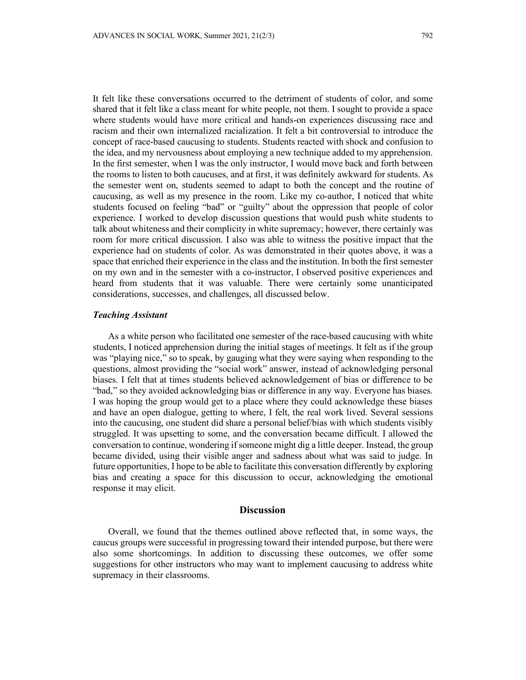It felt like these conversations occurred to the detriment of students of color, and some shared that it felt like a class meant for white people, not them. I sought to provide a space where students would have more critical and hands-on experiences discussing race and racism and their own internalized racialization. It felt a bit controversial to introduce the concept of race-based caucusing to students. Students reacted with shock and confusion to the idea, and my nervousness about employing a new technique added to my apprehension. In the first semester, when I was the only instructor, I would move back and forth between the rooms to listen to both caucuses, and at first, it was definitely awkward for students. As the semester went on, students seemed to adapt to both the concept and the routine of caucusing, as well as my presence in the room. Like my co-author, I noticed that white students focused on feeling "bad" or "guilty" about the oppression that people of color experience. I worked to develop discussion questions that would push white students to talk about whiteness and their complicity in white supremacy; however, there certainly was room for more critical discussion. I also was able to witness the positive impact that the experience had on students of color. As was demonstrated in their quotes above, it was a space that enriched their experience in the class and the institution. In both the first semester on my own and in the semester with a co-instructor, I observed positive experiences and heard from students that it was valuable. There were certainly some unanticipated considerations, successes, and challenges, all discussed below.

## *Teaching Assistant*

As a white person who facilitated one semester of the race-based caucusing with white students, I noticed apprehension during the initial stages of meetings. It felt as if the group was "playing nice," so to speak, by gauging what they were saying when responding to the questions, almost providing the "social work" answer, instead of acknowledging personal biases. I felt that at times students believed acknowledgement of bias or difference to be "bad," so they avoided acknowledging bias or difference in any way. Everyone has biases. I was hoping the group would get to a place where they could acknowledge these biases and have an open dialogue, getting to where, I felt, the real work lived. Several sessions into the caucusing, one student did share a personal belief/bias with which students visibly struggled. It was upsetting to some, and the conversation became difficult. I allowed the conversation to continue, wondering if someone might dig a little deeper. Instead, the group became divided, using their visible anger and sadness about what was said to judge. In future opportunities, I hope to be able to facilitate this conversation differently by exploring bias and creating a space for this discussion to occur, acknowledging the emotional response it may elicit.

# **Discussion**

Overall, we found that the themes outlined above reflected that, in some ways, the caucus groups were successful in progressing toward their intended purpose, but there were also some shortcomings. In addition to discussing these outcomes, we offer some suggestions for other instructors who may want to implement caucusing to address white supremacy in their classrooms.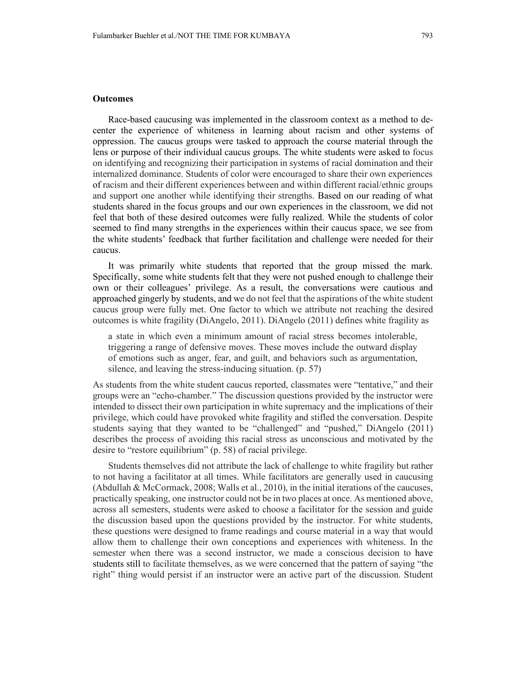### **Outcomes**

Race-based caucusing was implemented in the classroom context as a method to decenter the experience of whiteness in learning about racism and other systems of oppression. The caucus groups were tasked to approach the course material through the lens or purpose of their individual caucus groups. The white students were asked to focus on identifying and recognizing their participation in systems of racial domination and their internalized dominance. Students of color were encouraged to share their own experiences of racism and their different experiences between and within different racial/ethnic groups and support one another while identifying their strengths. Based on our reading of what students shared in the focus groups and our own experiences in the classroom, we did not feel that both of these desired outcomes were fully realized. While the students of color seemed to find many strengths in the experiences within their caucus space, we see from the white students' feedback that further facilitation and challenge were needed for their caucus.

It was primarily white students that reported that the group missed the mark. Specifically, some white students felt that they were not pushed enough to challenge their own or their colleagues' privilege. As a result, the conversations were cautious and approached gingerly by students, and we do not feel that the aspirations of the white student caucus group were fully met. One factor to which we attribute not reaching the desired outcomes is white fragility (DiAngelo, 2011). DiAngelo (2011) defines white fragility as

a state in which even a minimum amount of racial stress becomes intolerable, triggering a range of defensive moves. These moves include the outward display of emotions such as anger, fear, and guilt, and behaviors such as argumentation, silence, and leaving the stress-inducing situation. (p. 57)

As students from the white student caucus reported, classmates were "tentative," and their groups were an "echo-chamber." The discussion questions provided by the instructor were intended to dissect their own participation in white supremacy and the implications of their privilege, which could have provoked white fragility and stifled the conversation. Despite students saying that they wanted to be "challenged" and "pushed," DiAngelo (2011) describes the process of avoiding this racial stress as unconscious and motivated by the desire to "restore equilibrium" (p. 58) of racial privilege.

Students themselves did not attribute the lack of challenge to white fragility but rather to not having a facilitator at all times. While facilitators are generally used in caucusing (Abdullah & McCormack, 2008; Walls et al., 2010), in the initial iterations of the caucuses, practically speaking, one instructor could not be in two places at once. As mentioned above, across all semesters, students were asked to choose a facilitator for the session and guide the discussion based upon the questions provided by the instructor. For white students, these questions were designed to frame readings and course material in a way that would allow them to challenge their own conceptions and experiences with whiteness. In the semester when there was a second instructor, we made a conscious decision to have students still to facilitate themselves, as we were concerned that the pattern of saying "the right" thing would persist if an instructor were an active part of the discussion. Student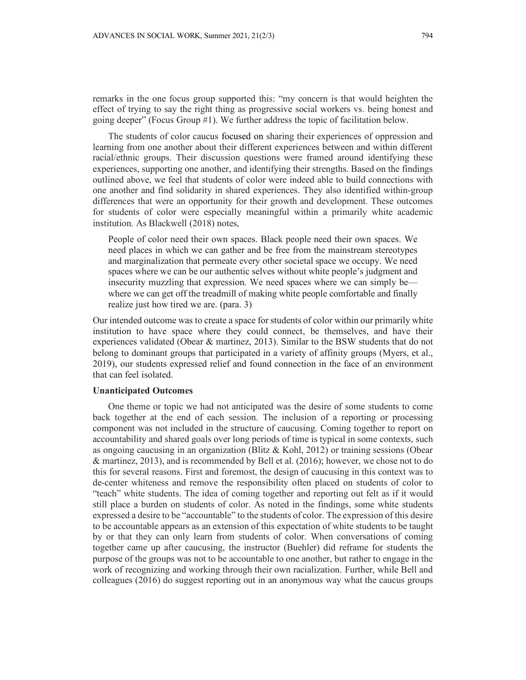remarks in the one focus group supported this: "my concern is that would heighten the effect of trying to say the right thing as progressive social workers vs. being honest and going deeper" (Focus Group #1). We further address the topic of facilitation below.

The students of color caucus focused on sharing their experiences of oppression and learning from one another about their different experiences between and within different racial/ethnic groups. Their discussion questions were framed around identifying these experiences, supporting one another, and identifying their strengths. Based on the findings outlined above, we feel that students of color were indeed able to build connections with one another and find solidarity in shared experiences. They also identified within-group differences that were an opportunity for their growth and development. These outcomes for students of color were especially meaningful within a primarily white academic institution. As Blackwell (2018) notes,

People of color need their own spaces. Black people need their own spaces. We need places in which we can gather and be free from the mainstream stereotypes and marginalization that permeate every other societal space we occupy. We need spaces where we can be our authentic selves without white people's judgment and insecurity muzzling that expression. We need spaces where we can simply be where we can get off the treadmill of making white people comfortable and finally realize just how tired we are. (para. 3)

Our intended outcome was to create a space for students of color within our primarily white institution to have space where they could connect, be themselves, and have their experiences validated (Obear & martinez, 2013). Similar to the BSW students that do not belong to dominant groups that participated in a variety of affinity groups (Myers, et al., 2019), our students expressed relief and found connection in the face of an environment that can feel isolated.

# **Unanticipated Outcomes**

One theme or topic we had not anticipated was the desire of some students to come back together at the end of each session. The inclusion of a reporting or processing component was not included in the structure of caucusing. Coming together to report on accountability and shared goals over long periods of time is typical in some contexts, such as ongoing caucusing in an organization (Blitz & Kohl, 2012) or training sessions (Obear & martinez, 2013), and is recommended by Bell et al. (2016); however, we chose not to do this for several reasons. First and foremost, the design of caucusing in this context was to de-center whiteness and remove the responsibility often placed on students of color to "teach" white students. The idea of coming together and reporting out felt as if it would still place a burden on students of color. As noted in the findings, some white students expressed a desire to be "accountable" to the students of color. The expression of this desire to be accountable appears as an extension of this expectation of white students to be taught by or that they can only learn from students of color. When conversations of coming together came up after caucusing, the instructor (Buehler) did reframe for students the purpose of the groups was not to be accountable to one another, but rather to engage in the work of recognizing and working through their own racialization. Further, while Bell and colleagues (2016) do suggest reporting out in an anonymous way what the caucus groups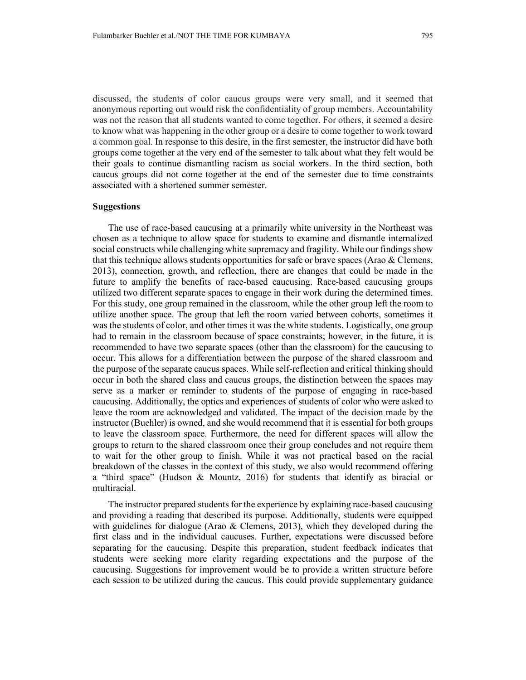discussed, the students of color caucus groups were very small, and it seemed that anonymous reporting out would risk the confidentiality of group members. Accountability was not the reason that all students wanted to come together. For others, it seemed a desire to know what was happening in the other group or a desire to come together to work toward a common goal. In response to this desire, in the first semester, the instructor did have both groups come together at the very end of the semester to talk about what they felt would be their goals to continue dismantling racism as social workers. In the third section, both caucus groups did not come together at the end of the semester due to time constraints associated with a shortened summer semester.

#### **Suggestions**

The use of race-based caucusing at a primarily white university in the Northeast was chosen as a technique to allow space for students to examine and dismantle internalized social constructs while challenging white supremacy and fragility. While our findings show that this technique allows students opportunities for safe or brave spaces (Arao & Clemens, 2013), connection, growth, and reflection, there are changes that could be made in the future to amplify the benefits of race-based caucusing. Race-based caucusing groups utilized two different separate spaces to engage in their work during the determined times. For this study, one group remained in the classroom, while the other group left the room to utilize another space. The group that left the room varied between cohorts, sometimes it was the students of color, and other times it was the white students. Logistically, one group had to remain in the classroom because of space constraints; however, in the future, it is recommended to have two separate spaces (other than the classroom) for the caucusing to occur. This allows for a differentiation between the purpose of the shared classroom and the purpose of the separate caucus spaces. While self-reflection and critical thinking should occur in both the shared class and caucus groups, the distinction between the spaces may serve as a marker or reminder to students of the purpose of engaging in race-based caucusing. Additionally, the optics and experiences of students of color who were asked to leave the room are acknowledged and validated. The impact of the decision made by the instructor (Buehler) is owned, and she would recommend that it is essential for both groups to leave the classroom space. Furthermore, the need for different spaces will allow the groups to return to the shared classroom once their group concludes and not require them to wait for the other group to finish. While it was not practical based on the racial breakdown of the classes in the context of this study, we also would recommend offering a "third space" (Hudson & Mountz, 2016) for students that identify as biracial or multiracial.

The instructor prepared students for the experience by explaining race-based caucusing and providing a reading that described its purpose. Additionally, students were equipped with guidelines for dialogue (Arao & Clemens, 2013), which they developed during the first class and in the individual caucuses. Further, expectations were discussed before separating for the caucusing. Despite this preparation, student feedback indicates that students were seeking more clarity regarding expectations and the purpose of the caucusing. Suggestions for improvement would be to provide a written structure before each session to be utilized during the caucus. This could provide supplementary guidance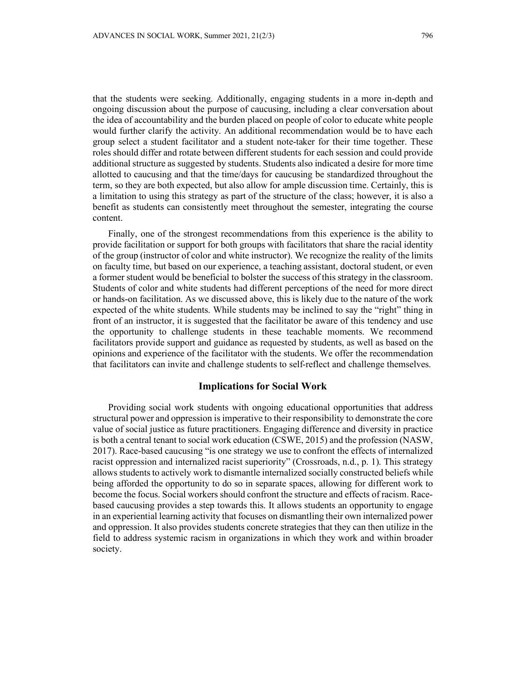that the students were seeking. Additionally, engaging students in a more in-depth and ongoing discussion about the purpose of caucusing, including a clear conversation about the idea of accountability and the burden placed on people of color to educate white people would further clarify the activity. An additional recommendation would be to have each group select a student facilitator and a student note-taker for their time together. These roles should differ and rotate between different students for each session and could provide additional structure as suggested by students. Students also indicated a desire for more time allotted to caucusing and that the time/days for caucusing be standardized throughout the term, so they are both expected, but also allow for ample discussion time. Certainly, this is a limitation to using this strategy as part of the structure of the class; however, it is also a benefit as students can consistently meet throughout the semester, integrating the course content.

Finally, one of the strongest recommendations from this experience is the ability to provide facilitation or support for both groups with facilitators that share the racial identity of the group (instructor of color and white instructor). We recognize the reality of the limits on faculty time, but based on our experience, a teaching assistant, doctoral student, or even a former student would be beneficial to bolster the success of this strategy in the classroom. Students of color and white students had different perceptions of the need for more direct or hands-on facilitation. As we discussed above, this is likely due to the nature of the work expected of the white students. While students may be inclined to say the "right" thing in front of an instructor, it is suggested that the facilitator be aware of this tendency and use the opportunity to challenge students in these teachable moments. We recommend facilitators provide support and guidance as requested by students, as well as based on the opinions and experience of the facilitator with the students. We offer the recommendation that facilitators can invite and challenge students to self-reflect and challenge themselves.

# **Implications for Social Work**

Providing social work students with ongoing educational opportunities that address structural power and oppression is imperative to their responsibility to demonstrate the core value of social justice as future practitioners. Engaging difference and diversity in practice is both a central tenant to social work education (CSWE, 2015) and the profession (NASW, 2017). Race-based caucusing "is one strategy we use to confront the effects of internalized racist oppression and internalized racist superiority" (Crossroads, n.d., p. 1). This strategy allows students to actively work to dismantle internalized socially constructed beliefs while being afforded the opportunity to do so in separate spaces, allowing for different work to become the focus. Social workers should confront the structure and effects of racism. Racebased caucusing provides a step towards this. It allows students an opportunity to engage in an experiential learning activity that focuses on dismantling their own internalized power and oppression. It also provides students concrete strategies that they can then utilize in the field to address systemic racism in organizations in which they work and within broader society.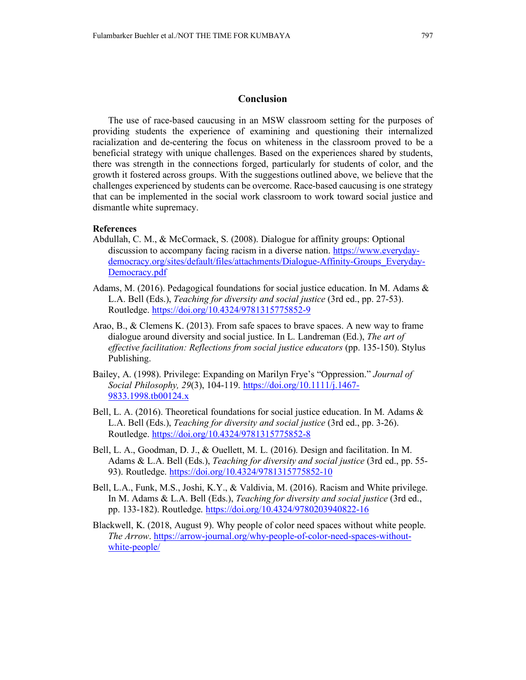# **Conclusion**

The use of race-based caucusing in an MSW classroom setting for the purposes of providing students the experience of examining and questioning their internalized racialization and de-centering the focus on whiteness in the classroom proved to be a beneficial strategy with unique challenges. Based on the experiences shared by students, there was strength in the connections forged, particularly for students of color, and the growth it fostered across groups. With the suggestions outlined above, we believe that the challenges experienced by students can be overcome. Race-based caucusing is one strategy that can be implemented in the social work classroom to work toward social justice and dismantle white supremacy.

### **References**

- Abdullah, C. M., & McCormack, S. (2008). Dialogue for affinity groups: Optional discussion to accompany facing racism in a diverse nation. [https://www.everyday](https://www.everyday-democracy.org/sites/default/files/attachments/Dialogue-Affinity-Groups_Everyday-Democracy.pdf)[democracy.org/sites/default/files/attachments/Dialogue-Affinity-Groups\\_Everyday-](https://www.everyday-democracy.org/sites/default/files/attachments/Dialogue-Affinity-Groups_Everyday-Democracy.pdf)[Democracy.pdf](https://www.everyday-democracy.org/sites/default/files/attachments/Dialogue-Affinity-Groups_Everyday-Democracy.pdf)
- Adams, M. (2016). Pedagogical foundations for social justice education. In M. Adams & L.A. Bell (Eds.), *Teaching for diversity and social justice* (3rd ed., pp. 27-53). Routledge. <https://doi.org/10.4324/9781315775852-9>
- Arao, B., & Clemens K. (2013). From safe spaces to brave spaces. A new way to frame dialogue around diversity and social justice. In L. Landreman (Ed.), *The art of effective facilitation: Reflections from social justice educators* (pp. 135-150). Stylus Publishing.
- Bailey, A. (1998). Privilege: Expanding on Marilyn Frye's "Oppression." *Journal of Social Philosophy, 29*(3), 104-119. [https://doi.org/10.1111/j.1467-](https://doi.org/10.1111/j.1467-9833.1998.tb00124.x) [9833.1998.tb00124.x](https://doi.org/10.1111/j.1467-9833.1998.tb00124.x)
- Bell, L. A. (2016). Theoretical foundations for social justice education. In M. Adams & L.A. Bell (Eds.), *Teaching for diversity and social justice* (3rd ed., pp. 3-26). Routledge. <https://doi.org/10.4324/9781315775852-8>
- Bell, L. A., Goodman, D. J., & Ouellett, M. L. (2016). Design and facilitation. In M. Adams & L.A. Bell (Eds.), *Teaching for diversity and social justice* (3rd ed., pp. 55- 93). Routledge. <https://doi.org/10.4324/9781315775852-10>
- Bell, L.A., Funk, M.S., Joshi, K.Y., & Valdivia, M. (2016). Racism and White privilege. In M. Adams & L.A. Bell (Eds.), *Teaching for diversity and social justice* (3rd ed., pp. 133-182). Routledge. <https://doi.org/10.4324/9780203940822-16>
- Blackwell, K. (2018, August 9). Why people of color need spaces without white people. *The Arrow*. [https://arrow-journal.org/why-people-of-color-need-spaces-without](https://arrow-journal.org/why-people-of-color-need-spaces-without-white-people/)[white-people/](https://arrow-journal.org/why-people-of-color-need-spaces-without-white-people/)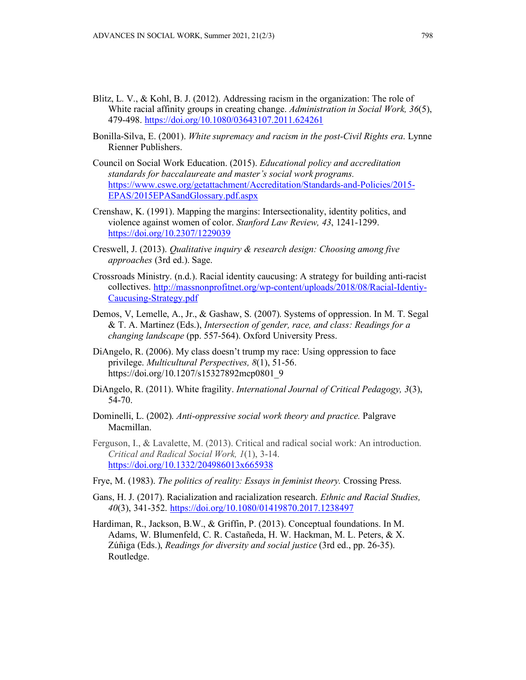- Blitz, L. V., & Kohl, B. J. (2012). Addressing racism in the organization: The role of White racial affinity groups in creating change. *Administration in Social Work, 36*(5), 479-498.<https://doi.org/10.1080/03643107.2011.624261>
- Bonilla-Silva, E. (2001). *White supremacy and racism in the post-Civil Rights era*. Lynne Rienner Publishers.
- Council on Social Work Education. (2015). *Educational policy and accreditation standards for baccalaureate and master's social work programs.* [https://www.cswe.org/getattachment/Accreditation/Standards-and-Policies/2015-](https://www.cswe.org/getattachment/Accreditation/Standards-and-Policies/2015-EPAS/2015EPASandGlossary.pdf.aspx) [EPAS/2015EPASandGlossary.pdf.aspx](https://www.cswe.org/getattachment/Accreditation/Standards-and-Policies/2015-EPAS/2015EPASandGlossary.pdf.aspx)
- Crenshaw, K. (1991). Mapping the margins: Intersectionality, identity politics, and violence against women of color. *Stanford Law Review, 43*, 1241-1299. <https://doi.org/10.2307/1229039>
- Creswell, J. (2013). *Qualitative inquiry & research design: Choosing among five approaches* (3rd ed.). Sage.
- Crossroads Ministry. (n.d.). Racial identity caucusing: A strategy for building anti-racist collectives. [http://massnonprofitnet.org/wp-content/uploads/2018/08/Racial-Identiy-](http://massnonprofitnet.org/wp-content/uploads/2018/08/Racial-Identiy-Caucusing-Strategy.pdf)[Caucusing-Strategy.pdf](http://massnonprofitnet.org/wp-content/uploads/2018/08/Racial-Identiy-Caucusing-Strategy.pdf)
- Demos, V, Lemelle, A., Jr., & Gashaw, S. (2007). Systems of oppression. In M. T. Segal & T. A. Martinez (Eds.), *Intersection of gender, race, and class: Readings for a changing landscape* (pp. 557-564). Oxford University Press.
- DiAngelo, R. (2006). My class doesn't trump my race: Using oppression to face privilege. *Multicultural Perspectives, 8*(1), 51-56. https://doi.org/10.1207/s15327892mcp0801\_9
- DiAngelo, R. (2011). White fragility. *International Journal of Critical Pedagogy, 3*(3), 54-70.
- Dominelli, L. (2002). *Anti-oppressive social work theory and practice.* Palgrave Macmillan.
- Ferguson, I., & Lavalette, M. (2013). Critical and radical social work: An introduction. *Critical and Radical Social Work, 1*(1), 3-14. <https://doi.org/10.1332/204986013x665938>
- Frye, M. (1983). *The politics of reality: Essays in feminist theory.* Crossing Press.
- Gans, H. J. (2017). Racialization and racialization research. *Ethnic and Racial Studies, 40*(3), 341-352. <https://doi.org/10.1080/01419870.2017.1238497>
- Hardiman, R., Jackson, B.W., & Griffin, P. (2013). Conceptual foundations. In M. Adams, W. Blumenfeld, C. R. Castañeda, H. W. Hackman, M. L. Peters, & X. Zúñiga (Eds.), *Readings for diversity and social justice* (3rd ed., pp. 26-35). Routledge.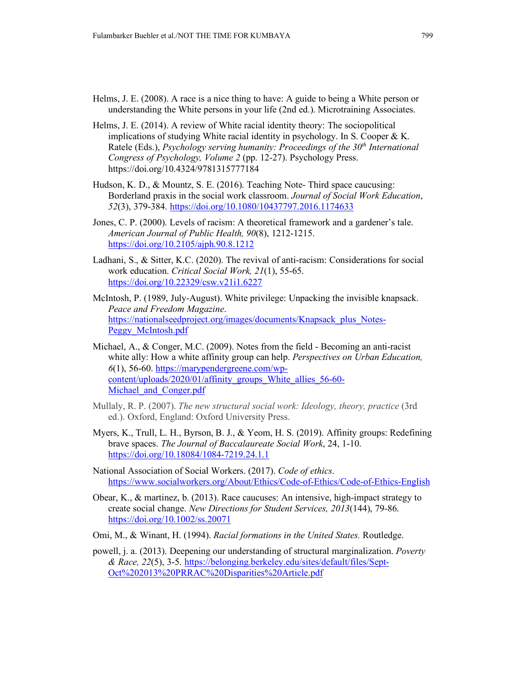- Helms, J. E. (2008). A race is a nice thing to have: A guide to being a White person or understanding the White persons in your life (2nd ed.). Microtraining Associates.
- Helms, J. E. (2014). A review of White racial identity theory: The sociopolitical implications of studying White racial identity in psychology. In S. Cooper  $\& K$ . Ratele (Eds.), *Psychology serving humanity: Proceedings of the 30<sup>th</sup> International Congress of Psychology, Volume 2* (pp. 12-27). Psychology Press. https://doi.org/10.4324/9781315777184
- Hudson, K. D., & Mountz, S. E. (2016). Teaching Note- Third space caucusing: Borderland praxis in the social work classroom. *Journal of Social Work Education*, *52*(3), 379-384. <https://doi.org/10.1080/10437797.2016.1174633>
- Jones, C. P. (2000). Levels of racism: A theoretical framework and a gardener's tale. *American Journal of Public Health, 90*(8), 1212-1215. <https://doi.org/10.2105/ajph.90.8.1212>
- Ladhani, S., & Sitter, K.C. (2020). The revival of anti-racism: Considerations for social work education. *Critical Social Work, 21*(1), 55-65. <https://doi.org/10.22329/csw.v21i1.6227>
- McIntosh, P. (1989, July-August). White privilege: Unpacking the invisible knapsack. *Peace and Freedom Magazine*. [https://nationalseedproject.org/images/documents/Knapsack\\_plus\\_Notes-](https://nationalseedproject.org/images/documents/Knapsack_plus_Notes-Peggy_McIntosh.pdf)[Peggy\\_McIntosh.pdf](https://nationalseedproject.org/images/documents/Knapsack_plus_Notes-Peggy_McIntosh.pdf)
- Michael, A., & Conger, M.C. (2009). Notes from the field Becoming an anti-racist white ally: How a white affinity group can help. *Perspectives on Urban Education, 6*(1), 56-60. [https://marypendergreene.com/wp](https://marypendergreene.com/wp-content/uploads/2020/01/affinity_groups_White_allies_56-60-Michael_and_Conger.pdf)[content/uploads/2020/01/affinity\\_groups\\_White\\_allies\\_56-60-](https://marypendergreene.com/wp-content/uploads/2020/01/affinity_groups_White_allies_56-60-Michael_and_Conger.pdf) Michael and Conger.pdf
- Mullaly, R. P. (2007). *The new structural social work: Ideology, theory, practice* (3rd ed.). Oxford, England: Oxford University Press.
- Myers, K., Trull, L. H., Byrson, B. J., & Yeom, H. S. (2019). Affinity groups: Redefining brave spaces. *The Journal of Baccalaureate Social Work*, 24, 1-10. <https://doi.org/10.18084/1084-7219.24.1.1>
- National Association of Social Workers. (2017). *Code of ethics*. <https://www.socialworkers.org/About/Ethics/Code-of-Ethics/Code-of-Ethics-English>
- Obear, K., & martinez, b. (2013). Race caucuses: An intensive, high-impact strategy to create social change. *New Directions for Student Services, 2013*(144), 79-86. <https://doi.org/10.1002/ss.20071>
- Omi, M., & Winant, H. (1994). *Racial formations in the United States.* Routledge.
- powell, j. a. (2013). Deepening our understanding of structural marginalization. *Poverty & Race, 22*(5), 3-5. [https://belonging.berkeley.edu/sites/default/files/Sept-](https://belonging.berkeley.edu/sites/default/files/Sept-Oct%202013%20PRRAC%20Disparities%20Article.pdf)[Oct%202013%20PRRAC%20Disparities%20Article.pdf](https://belonging.berkeley.edu/sites/default/files/Sept-Oct%202013%20PRRAC%20Disparities%20Article.pdf)